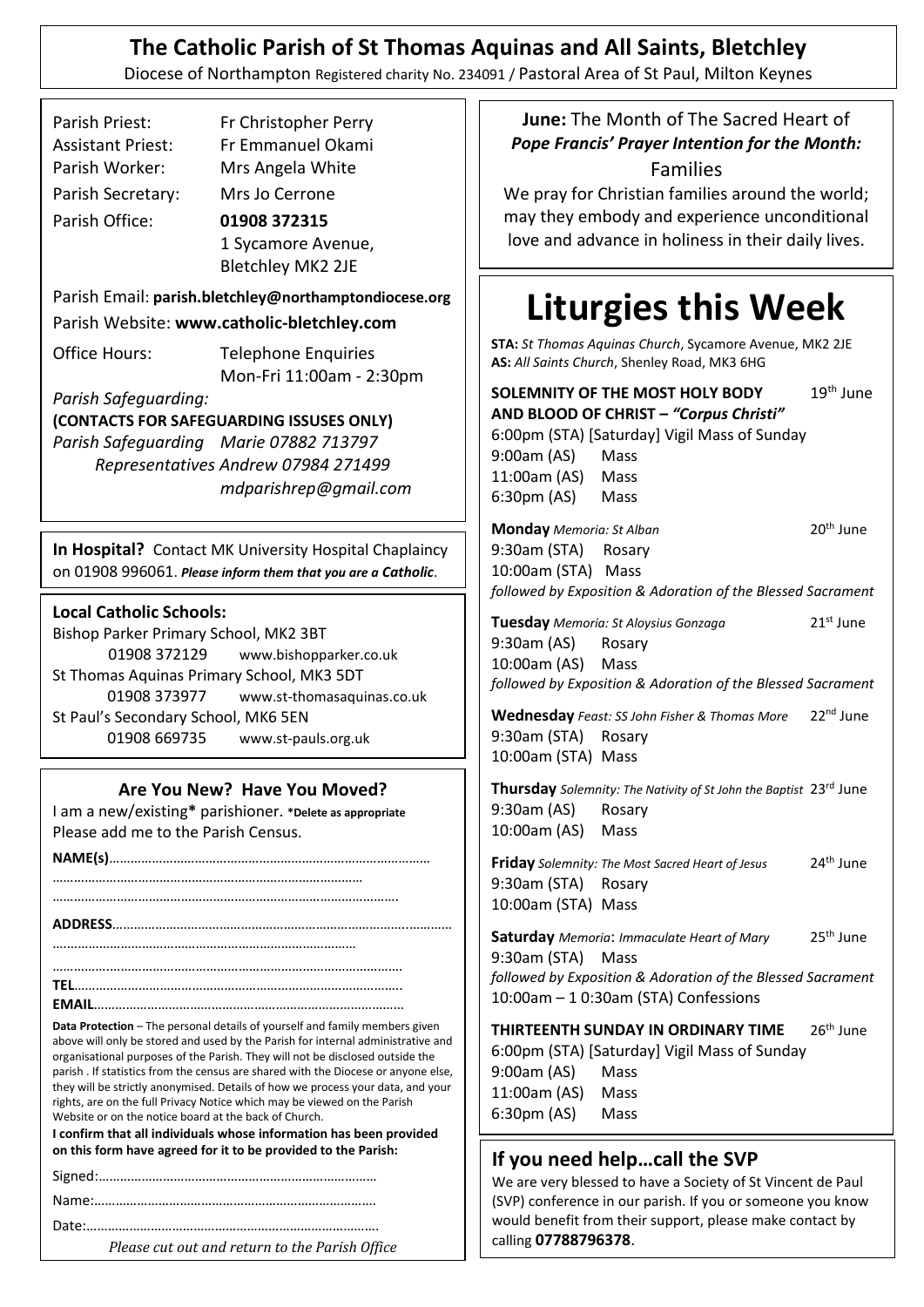# **The Catholic Parish of St Thomas Aquinas and All Saints, Bletchley**

Diocese of Northampton Registered charity No. 234091 / Pastoral Area of St Paul, Milton Keynes

| <b>Assistant Priest:</b><br>Fr Emmanuel Okami<br>Parish Worker:<br>Mrs Angela White<br>Parish Secretary:<br>Mrs Jo Cerrone<br>Parish Office:<br>01908 372315<br>1 Sycamore Avenue,<br><b>Bletchley MK2 2JE</b>                                                                                                                                                                                                                                                                                                                    | <b>Pope Francis' Prayer Intention for the Month:</b><br><b>Families</b><br>We pray for Christian families around the world;<br>may they embody and experience unconditional<br>love and advance in holiness in their daily lives.                                                                                                                       |  |
|-----------------------------------------------------------------------------------------------------------------------------------------------------------------------------------------------------------------------------------------------------------------------------------------------------------------------------------------------------------------------------------------------------------------------------------------------------------------------------------------------------------------------------------|---------------------------------------------------------------------------------------------------------------------------------------------------------------------------------------------------------------------------------------------------------------------------------------------------------------------------------------------------------|--|
| Parish Email: parish.bletchley@northamptondiocese.org<br>Parish Website: www.catholic-bletchley.com<br>Office Hours:<br><b>Telephone Enquiries</b><br>Mon-Fri 11:00am - 2:30pm<br>Parish Safeguarding:<br>(CONTACTS FOR SAFEGUARDING ISSUSES ONLY)<br>Parish Safeguarding Marie 07882 713797<br>Representatives Andrew 07984 271499<br>mdparishrep@gmail.com                                                                                                                                                                      | <b>Liturgies this Week</b><br>STA: St Thomas Aquinas Church, Sycamore Avenue, MK2 2JE<br>AS: All Saints Church, Shenley Road, MK3 6HG<br>$19th$ June<br>SOLEMNITY OF THE MOST HOLY BODY<br>AND BLOOD OF CHRIST - "Corpus Christi"<br>6:00pm (STA) [Saturday] Vigil Mass of Sunday<br>9:00am (AS)<br>Mass<br>11:00am (AS)<br>Mass<br>6:30pm (AS)<br>Mass |  |
| In Hospital? Contact MK University Hospital Chaplaincy<br>on 01908 996061. Please inform them that you are a Catholic.                                                                                                                                                                                                                                                                                                                                                                                                            | 20 <sup>th</sup> June<br><b>Monday</b> Memoria: St Alban<br>9:30am (STA)<br>Rosary<br>10:00am (STA) Mass<br>followed by Exposition & Adoration of the Blessed Sacrament                                                                                                                                                                                 |  |
| <b>Local Catholic Schools:</b><br>Bishop Parker Primary School, MK2 3BT<br>01908 372129<br>www.bishopparker.co.uk<br>St Thomas Aquinas Primary School, MK3 5DT<br>01908 373977<br>www.st-thomasaquinas.co.uk<br>St Paul's Secondary School, MK6 5EN<br>01908 669735<br>www.st-pauls.org.uk                                                                                                                                                                                                                                        | 21 <sup>st</sup> June<br>Tuesday Memoria: St Aloysius Gonzaga<br>9:30am (AS)<br>Rosary<br>10:00am (AS)<br>Mass<br>followed by Exposition & Adoration of the Blessed Sacrament<br>22 <sup>nd</sup> June<br>Wednesday Feast: SS John Fisher & Thomas More<br>9:30am (STA)<br>Rosary<br>10:00am (STA) Mass                                                 |  |
| Are You New? Have You Moved?<br>I am a new/existing* parishioner. *Delete as appropriate<br>Please add me to the Parish Census.                                                                                                                                                                                                                                                                                                                                                                                                   | Thursday Solemnity: The Nativity of St John the Baptist 23rd June<br>9:30am (AS)<br>Rosary<br>10:00am (AS) Mass<br>24 <sup>th</sup> June<br>Friday Solemnity: The Most Sacred Heart of Jesus<br>9:30am (STA)<br>Rosary<br>10:00am (STA) Mass                                                                                                            |  |
| Data Protection - The personal details of yourself and family members given<br>above will only be stored and used by the Parish for internal administrative and                                                                                                                                                                                                                                                                                                                                                                   | 25 <sup>th</sup> June<br><b>Saturday</b> Memoria: Immaculate Heart of Mary<br>9:30am (STA)<br>Mass<br>followed by Exposition & Adoration of the Blessed Sacrament<br>10:00am - 1 0:30am (STA) Confessions<br>THIRTEENTH SUNDAY IN ORDINARY TIME<br>26 <sup>th</sup> June                                                                                |  |
| organisational purposes of the Parish. They will not be disclosed outside the<br>parish. If statistics from the census are shared with the Diocese or anyone else,<br>they will be strictly anonymised. Details of how we process your data, and your<br>rights, are on the full Privacy Notice which may be viewed on the Parish<br>Website or on the notice board at the back of Church.<br>I confirm that all individuals whose information has been provided<br>on this form have agreed for it to be provided to the Parish: | 6:00pm (STA) [Saturday] Vigil Mass of Sunday<br>9:00am (AS)<br>Mass<br>11:00am (AS)<br>Mass<br>$6:30 \text{pm} (AS)$<br>Mass                                                                                                                                                                                                                            |  |
| Please cut out and return to the Parish Office                                                                                                                                                                                                                                                                                                                                                                                                                                                                                    | If you need helpcall the SVP<br>We are very blessed to have a Society of St Vincent de Paul<br>(SVP) conference in our parish. If you or someone you know<br>would benefit from their support, please make contact by<br>calling 07788796378.                                                                                                           |  |

Parish Priest: **<sup>s</sup>** Fr Christopher Perry

**June:** The Month of The Sacred Heart of *Pope Francis' Prayer Intention for the Month:* Families

# **Liturgies this Week**

| 9:00am (AS) Mass                                                                            | 6:00pm (STA) [Saturday] Vigil Mass of Sunday                                                                                                      |                       |  |
|---------------------------------------------------------------------------------------------|---------------------------------------------------------------------------------------------------------------------------------------------------|-----------------------|--|
| 11:00am (AS) Mass<br>6:30pm (AS) Mass                                                       |                                                                                                                                                   |                       |  |
| Monday Memoria: St Alban<br>9:30am (STA) Rosary<br>10:00am (STA) Mass                       |                                                                                                                                                   | 20 <sup>th</sup> June |  |
|                                                                                             | followed by Exposition & Adoration of the Blessed Sacrament                                                                                       |                       |  |
| 9:30am (AS) Rosary<br>10:00am (AS) Mass                                                     | Tuesday Memoria: St Aloysius Gonzaga<br>followed by Exposition & Adoration of the Blessed Sacrament                                               | 21 <sup>st</sup> June |  |
| 9:30am (STA) Rosary<br>10:00am (STA) Mass                                                   | Wednesday Feast: SS John Fisher & Thomas More                                                                                                     | 22 <sup>nd</sup> June |  |
| 9:30am (AS) Rosary<br>10:00am (AS) Mass                                                     | <b>Thursday</b> Solemnity: The Nativity of St John the Baptist 23 <sup>rd</sup> June                                                              |                       |  |
| 9:30am (STA) Rosary<br>10:00am (STA) Mass                                                   | Friday Solemnity: The Most Sacred Heart of Jesus                                                                                                  | 24 <sup>th</sup> June |  |
| 9:30am (STA) Mass                                                                           | Saturday Memoria: Immaculate Heart of Mary<br>followed by Exposition & Adoration of the Blessed Sacrament<br>10:00am - 1 0:30am (STA) Confessions | 25 <sup>th</sup> June |  |
| 9:00am (AS) Mass<br>11:00am (AS) Mass<br>6:30pm (AS) Mass                                   | THIRTEENTH SUNDAY IN ORDINARY TIME 26th June<br>6:00pm (STA) [Saturday] Vigil Mass of Sunday                                                      |                       |  |
| If you need helpcall the SVP<br>We are very blessed to have a Society of St Vincent de Paul |                                                                                                                                                   |                       |  |